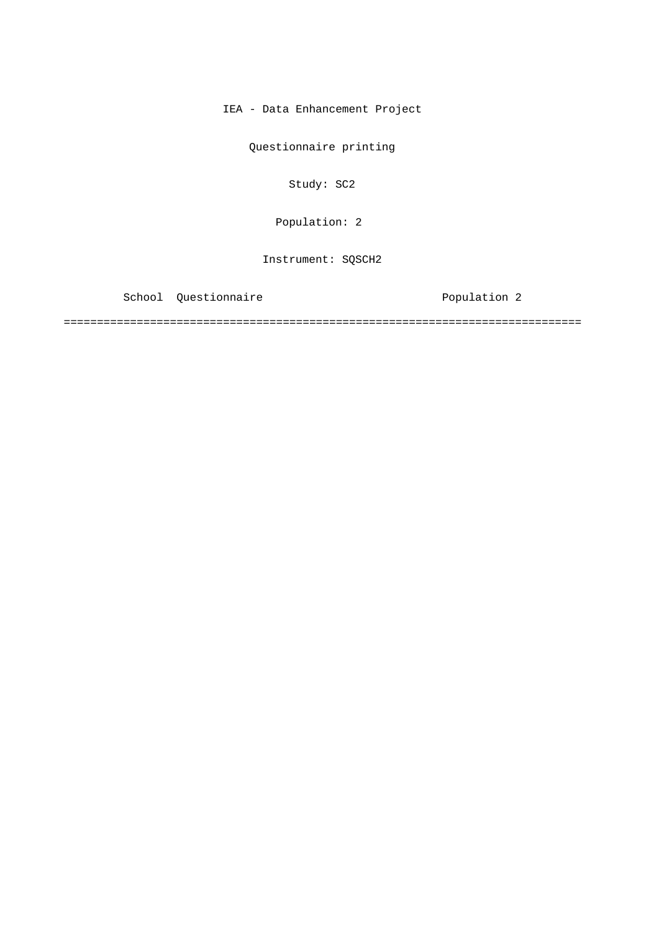IEA - Data Enhancement Project

Questionnaire printing

Study: SC2

Population: 2

Instrument: SQSCH2

School Questionnaire **Population** 2

==============================================================================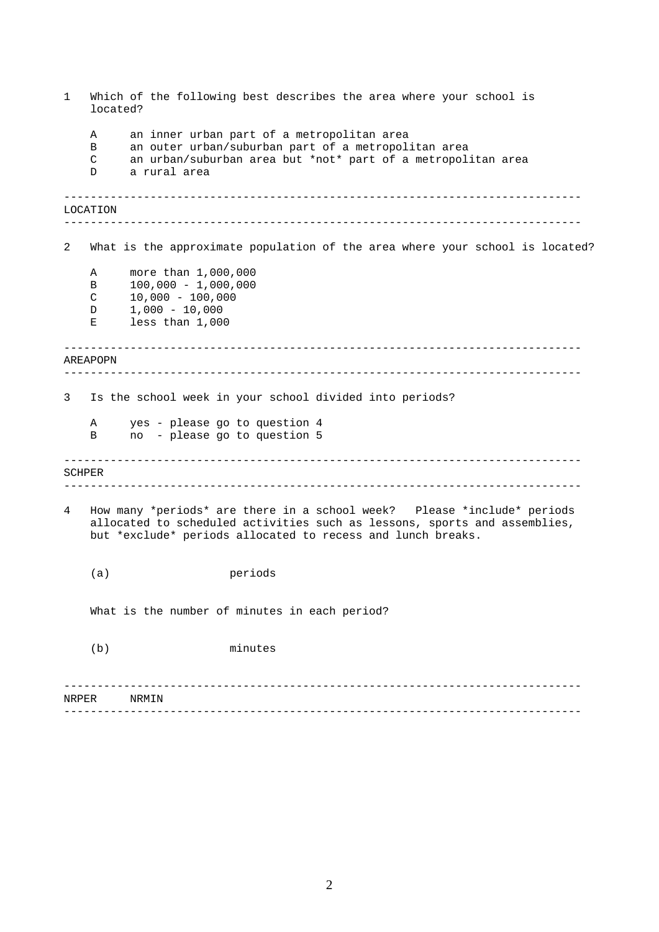<span id="page-1-0"></span>

| $\mathbf{1}$   | located?              | Which of the following best describes the area where your school is                                                                                                                                                 |
|----------------|-----------------------|---------------------------------------------------------------------------------------------------------------------------------------------------------------------------------------------------------------------|
|                | Α<br>B<br>C<br>D      | an inner urban part of a metropolitan area<br>an outer urban/suburban part of a metropolitan area<br>an urban/suburban area but *not* part of a metropolitan area<br>a rural area                                   |
|                | LOCATION              |                                                                                                                                                                                                                     |
| 2              |                       | What is the approximate population of the area where your school is located?                                                                                                                                        |
|                | Α<br>В<br>C<br>D<br>Е | more than 1,000,000<br>$100,000 - 1,000,000$<br>$10,000 - 100,000$<br>$1,000 - 10,000$<br>less than 1,000                                                                                                           |
|                | AREAPOPN              |                                                                                                                                                                                                                     |
| 3 <sup>7</sup> |                       | Is the school week in your school divided into periods?                                                                                                                                                             |
|                | Α<br>B                | yes - please go to question 4<br>no - please go to question 5                                                                                                                                                       |
|                | SCHPER                |                                                                                                                                                                                                                     |
| 4              |                       | How many *periods* are there in a school week? Please *include* periods<br>allocated to scheduled activities such as lessons, sports and assemblies,<br>but *exclude* periods allocated to recess and lunch breaks. |
|                | (a)                   | periods                                                                                                                                                                                                             |
|                |                       | What is the number of minutes in each period?                                                                                                                                                                       |
|                | (b)                   | minutes                                                                                                                                                                                                             |
| NRPER          |                       | NRMIN                                                                                                                                                                                                               |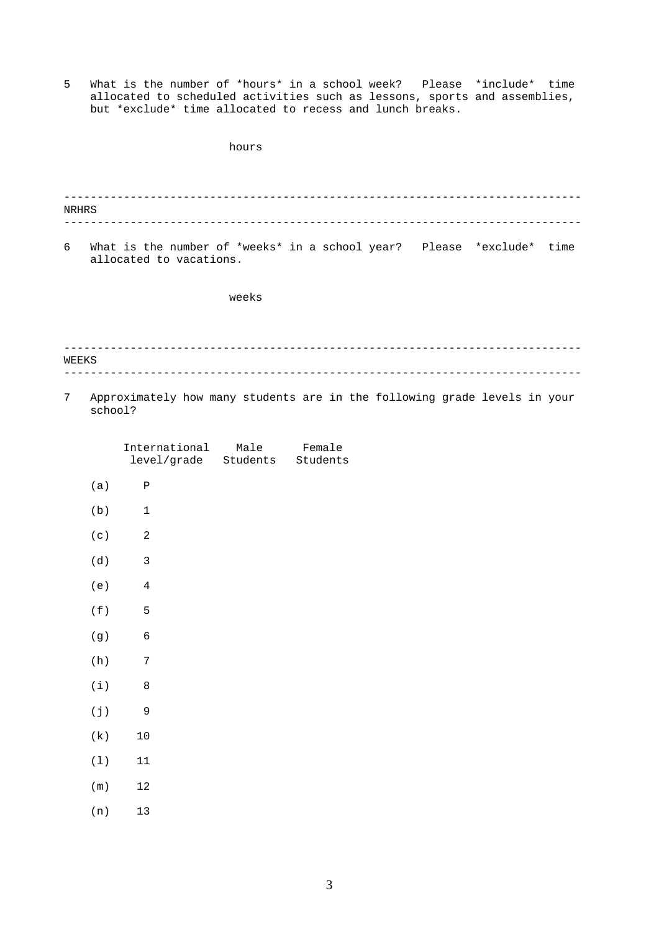5 What is the number of \*hours\* in a school week? Please \*include\* time allocated to scheduled activities such as lessons, sports and assemblies, but \*exclude\* time allocated to recess and lunch breaks.

|              | hours                                                                                            |
|--------------|--------------------------------------------------------------------------------------------------|
|              |                                                                                                  |
| <b>NRHRS</b> |                                                                                                  |
| 6            | What is the number of *weeks* in a school year? Please *exclude* time<br>allocated to vacations. |
|              | weeks                                                                                            |
|              |                                                                                                  |
| WEEKS        |                                                                                                  |
| 7            | Approximately how many students are in the following grade levels in your<br>school?             |
|              | International Male Female<br>level/grade Students<br>Students                                    |

(a) P (b) 1 [\(c\) 2](#page-1-0)  (d) 3 [\(e\) 4](#page-3-0)  (f) 5 [\(g\) 6](#page-5-0)  [\(h\) 7](#page-6-0)  [\(i\) 8](#page-7-0)  [\(j\) 9](#page-8-0)  [\(k\) 10](#page-9-0)  (l) 11 (m) 12 (n) 13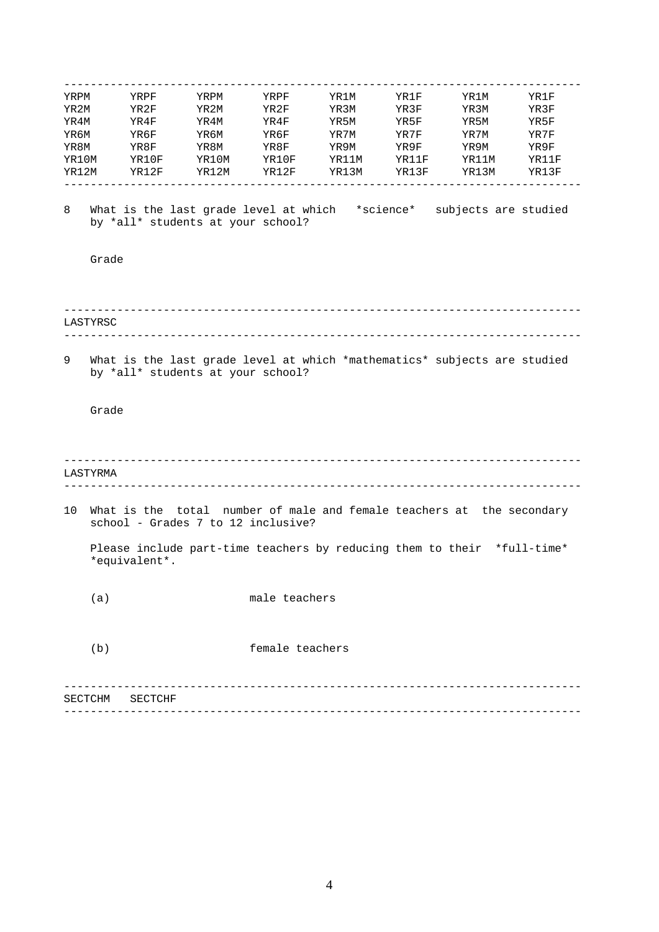<span id="page-3-0"></span>

| YRPM  |          | YRPF                              | YRPM  | YRPF                                                                                                        | YR1M  | YR1F  | YR1M  | YR1F  |
|-------|----------|-----------------------------------|-------|-------------------------------------------------------------------------------------------------------------|-------|-------|-------|-------|
| YR2M  |          | YR2F                              | YR2M  | YR2F                                                                                                        | YR3M  | YR3F  | YR3M  | YR3F  |
| YR4M  |          | YR4F                              | YR4M  | YR4F                                                                                                        | YR5M  | YR5F  | YR5M  | YR5F  |
| YR6M  |          | YR6F                              | YR6M  | YR6F                                                                                                        | YR7M  | YR7F  | YR7M  | YR7F  |
| YR8M  |          | YR8F                              | YR8M  | YR8F                                                                                                        | YR9M  | YR9F  | YR9M  | YR9F  |
| YR10M |          | YR10F                             | YR10M | YR10F                                                                                                       | YR11M | YR11F | YR11M | YR11F |
| YR12M |          | YR12F                             | YR12M | YR12F                                                                                                       | YR13M | YR13F | YR13M | YR13F |
|       |          |                                   |       |                                                                                                             |       |       |       |       |
| 8     |          | by *all* students at your school? |       | What is the last grade level at which *science* subjects are studied                                        |       |       |       |       |
|       | Grade    |                                   |       |                                                                                                             |       |       |       |       |
|       |          |                                   |       |                                                                                                             |       |       |       |       |
|       |          |                                   |       |                                                                                                             |       |       |       |       |
|       |          |                                   |       |                                                                                                             |       |       |       |       |
|       |          |                                   |       |                                                                                                             |       |       |       |       |
|       | LASTYRSC |                                   |       |                                                                                                             |       |       |       |       |
|       |          |                                   |       |                                                                                                             |       |       |       |       |
| 9     |          |                                   |       | What is the last grade level at which *mathematics* subjects are studied                                    |       |       |       |       |
|       |          | by *all* students at your school? |       |                                                                                                             |       |       |       |       |
|       |          |                                   |       |                                                                                                             |       |       |       |       |
|       |          |                                   |       |                                                                                                             |       |       |       |       |
|       | Grade    |                                   |       |                                                                                                             |       |       |       |       |
|       |          |                                   |       |                                                                                                             |       |       |       |       |
|       |          |                                   |       |                                                                                                             |       |       |       |       |
|       |          |                                   |       |                                                                                                             |       |       |       |       |
|       |          |                                   |       |                                                                                                             |       |       |       |       |
|       | LASTYRMA |                                   |       |                                                                                                             |       |       |       |       |
|       |          |                                   |       |                                                                                                             |       |       |       |       |
| 10    |          |                                   |       | What is the total number of male and female teachers at the secondary<br>school - Grades 7 to 12 inclusive? |       |       |       |       |
|       |          |                                   |       |                                                                                                             |       |       |       |       |
|       |          |                                   |       | Please include part-time teachers by reducing them to their *full-time*                                     |       |       |       |       |
|       |          | *equivalent*.                     |       |                                                                                                             |       |       |       |       |
|       |          |                                   |       |                                                                                                             |       |       |       |       |
|       | (a)      |                                   |       | male teachers                                                                                               |       |       |       |       |
|       |          |                                   |       |                                                                                                             |       |       |       |       |
|       |          |                                   |       |                                                                                                             |       |       |       |       |
|       |          |                                   |       |                                                                                                             |       |       |       |       |
|       | (b)      |                                   |       | female teachers                                                                                             |       |       |       |       |
|       |          |                                   |       |                                                                                                             |       |       |       |       |
|       |          |                                   |       |                                                                                                             |       |       |       |       |
|       |          |                                   |       |                                                                                                             |       |       |       |       |
|       | SECTCHM  | SECTCHF                           |       |                                                                                                             |       |       |       |       |
|       |          |                                   |       |                                                                                                             |       |       |       |       |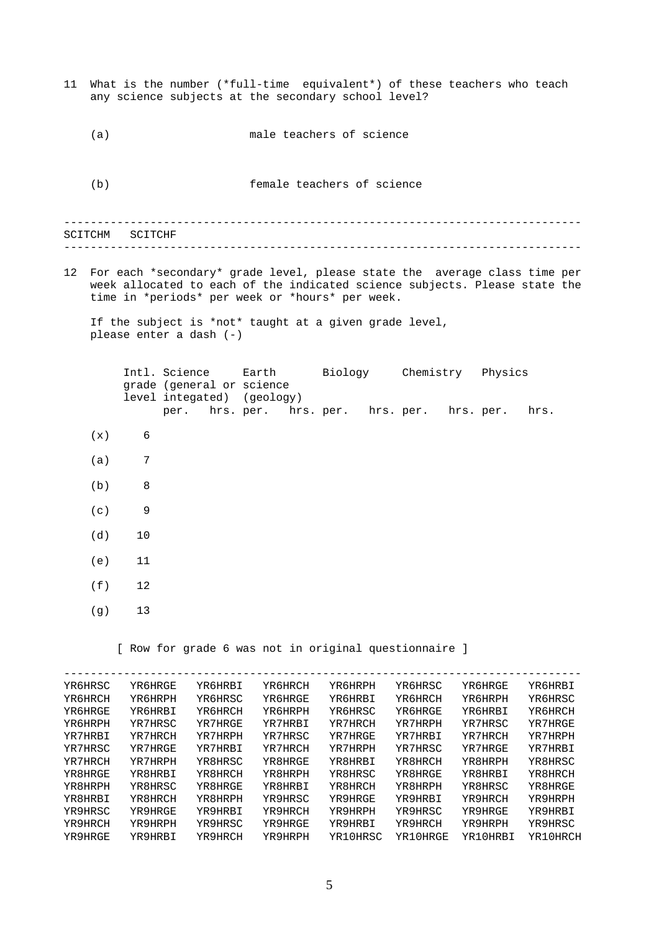------------------------------------------------------------------------------ ------------------------------------------------------------------------------ ------------------------------------------------------------------------------ 11 What is the number (\*full-time equivalent\*) of these teachers who teach any science subjects at the secondary school level? (a) male teachers of science (b) female teachers of science SCITCHM SCITCHF 12 For each \*secondary\* grade level, please state the average class time per week allocated to each of the indicated science subjects. Please state the time in \*periods\* per week or \*hours\* per week. If the subject is \*not\* taught at a given grade level, please enter a dash (-) Intl. Science Earth Biology Chemistry Physics grade (general or science level integated) (geology) per. hrs. per. hrs. per. hrs. per. hrs. per. hrs.  $(x)$  6 (a) 7 (b) 8 (c) 9 (d) 10 (e) 11 (f) 12 (g) 13 [ Row for grade 6 was not in original questionnaire ] YR6HRSC YR6HRGE YR6HRBI YR6HRCH YR6HRPH YR6HRSC YR6HRGE YR6HRBI YR6HRCH YR6HRPH YR6HRSC YR6HRGE YR6HRBI YR6HRCH YR6HRPH YR6HRSC YR6HRGE YR6HRBI YR6HRCH YR6HRPH YR6HRSC YR6HRGE YR6HRBI YR6HRCH YR6HRPH YR7HRSC YR7HRGE YR7HRBI YR7HRCH YR7HRPH YR7HRSC YR7HRGE YR7HRBI YR7HRCH YR7HRPH YR7HRSC YR7HRGE YR7HRBI YR7HRCH YR7HRPH YR7HRSC YR7HRGE YR7HRBI YR7HRCH YR7HRPH YR7HRSC YR7HRGE YR7HRBI YR7HRCH YR7HRPH YR8HRSC YR8HRGE YR8HRBI YR8HRCH YR8HRPH YR8HRSC YR8HRGE YR8HRBI YR8HRCH YR8HRPH YR8HRSC YR8HRGE YR8HRBI YR8HRCH YR8HRPH YR8HRSC YR8HRGE YR8HRBI YR8HRCH YR8HRPH YR8HRSC YR8HRGE YR8HRBI YR8HRCH YR8HRPH YR9HRSC YR9HRGE YR9HRBI YR9HRCH YR9HRPH YR9HRSC YR9HRGE YR9HRBI YR9HRCH YR9HRPH YR9HRSC YR9HRGE YR9HRBI YR9HRCH YR9HRPH YR9HRSC YR9HRGE YR9HRBI YR9HRCH YR9HRPH YR9HRSC

YR9HRGE YR9HRBI YR9HRCH YR9HRPH YR10HRSC YR10HRGE YR10HRBI YR10HRCH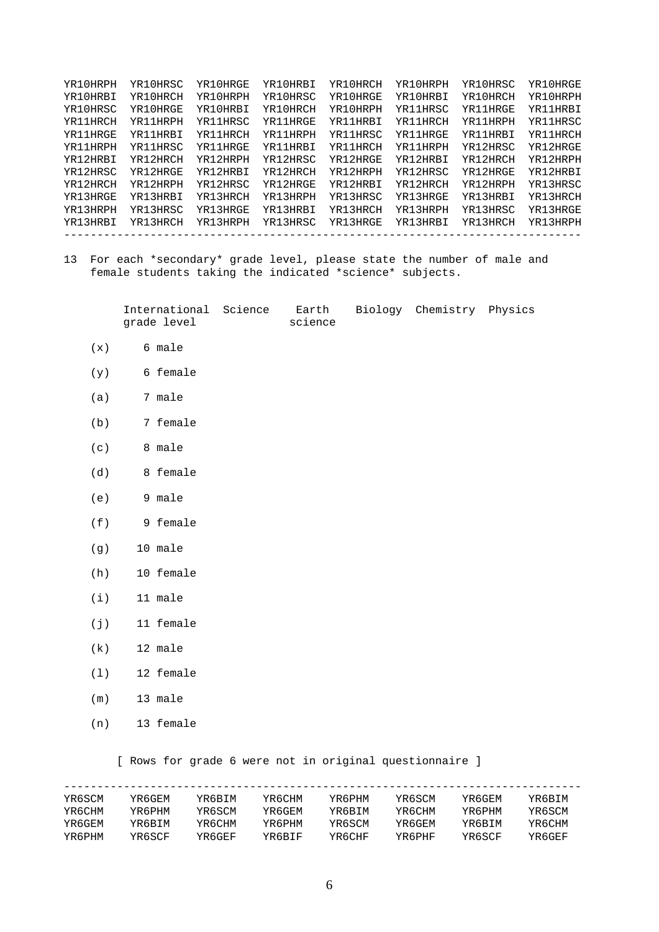<span id="page-5-0"></span>

| YR10HRPH | YR10HRSC | YR10HRGE | YR10HRBI | YR10HRCH | YR10HRPH | YR10HRSC | YR10HRGE |
|----------|----------|----------|----------|----------|----------|----------|----------|
| YR10HRBI | YR10HRCH | YR10HRPH | YR10HRSC | YR10HRGE | YR10HRBI | YR10HRCH | YR10HRPH |
| YR10HRSC | YR10HRGE | YR10HRBI | YR10HRCH | YR10HRPH | YR11HRSC | YR11HRGE | YR11HRBI |
| YR11HRCH | YR11HRPH | YR11HRSC | YR11HRGE | YR11HRBI | YR11HRCH | YR11HRPH | YR11HRSC |
| YR11HRGE | YR11HRBI | YR11HRCH | YR11HRPH | YR11HRSC | YR11HRGE | YR11HRBI | YR11HRCH |
| YR11HRPH | YR11HRSC | YR11HRGE | YR11HRBI | YR11HRCH | YR11HRPH | YR12HRSC | YR12HRGE |
| YR12HRBI | YR12HRCH | YR12HRPH | YR12HRSC | YR12HRGE | YR12HRBI | YR12HRCH | YR12HRPH |
| YR12HRSC | YR12HRGE | YR12HRBI | YR12HRCH | YR12HRPH | YR12HRSC | YR12HRGE | YR12HRBI |
| YR12HRCH | YR12HRPH | YR12HRSC | YR12HRGE | YR12HRBI | YR12HRCH | YR12HRPH | YR13HRSC |
| YR13HRGE | YR13HRBI | YR13HRCH | YR13HRPH | YR13HRSC | YR13HRGE | YR13HRBI | YR13HRCH |
| YR13HRPH | YR13HRSC | YR13HRGE | YR13HRBI | YR13HRCH | YR13HRPH | YR13HRSC | YR13HRGE |
| YR13HRBI | YR13HRCH | YR13HRPH | YR13HRSC | YR13HRGE | YR13HRBI | YR13HRCH | YR13HRPH |
|          |          |          |          |          |          |          |          |

13 For each \*secondary\* grade level, please state the number of male and female students taking the indicated \*science\* subjects.

> International Science Earth Biology Chemistry Physics grade level science

- $(x)$  6 male
- (y) 6 female
- (a) 7 male
- (b) 7 female
- (c) 8 male
- (d) 8 female
- (e) 9 male
- (f) 9 female
- (g) 10 male
- (h) 10 female
- $(i)$  11 male
- (j) 11 female
- (k) 12 male
- (l) 12 female
- (m) 13 male
- (n) 13 female

[ Rows for grade 6 were not in original questionnaire ]

| YR6SCM | YR6GEM | YR6BIM | YR6CHM | YR6PHM | YR6SCM | YR6GEM | YR6BIM |
|--------|--------|--------|--------|--------|--------|--------|--------|
| YR6CHM | YR6PHM | YR6SCM | YR6GEM | YR6BIM | YR6CHM | YR6PHM | YR6SCM |

YR6GEM YR6BIM YR6CHM YR6PHM YR6SCM YR6GEM YR6BIM YR6CHM YR6PHM YR6SCF YR6GEF YR6BIF YR6CHF YR6PHF YR6SCF YR6GEF

|   | ۰<br>. . |   |  |
|---|----------|---|--|
| × |          | š |  |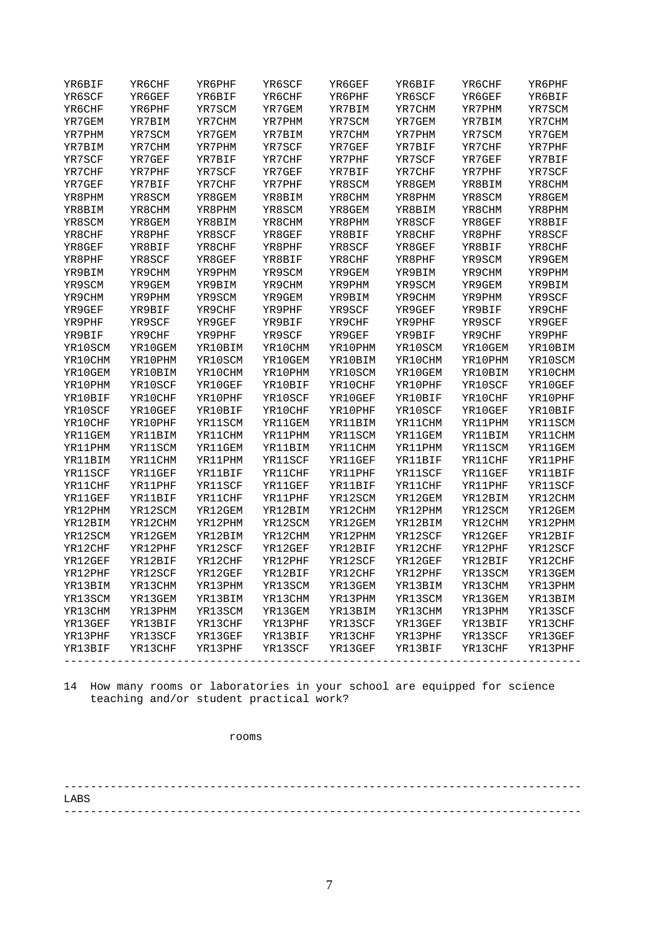<span id="page-6-0"></span>

| YR6BIF         | YR6CHF         | YR6PHF         | YR6SCF  | YR6GEF         | YR6BIF  | YR6CHF  | YR6PHF  |
|----------------|----------------|----------------|---------|----------------|---------|---------|---------|
| YR6SCF         | YR6GEF         | YR6BIF         | YR6CHF  | YR6PHF         | YR6SCF  | YR6GEF  | YR6BIF  |
| YR6CHF         | YR6PHF         | YR7SCM         | YR7GEM  | YR7BIM         | YR7CHM  | YR7PHM  | YR7SCM  |
| YR7GEM         | YR7BIM         | YR7CHM         | YR7PHM  | YR7SCM         | YR7GEM  | YR7BIM  | YR7CHM  |
| YR7PHM         | YR7SCM         | YR7GEM         | YR7BIM  | YR7CHM         | YR7PHM  | YR7SCM  | YR7GEM  |
| YR7BIM         | YR7CHM         | YR7PHM         | YR7SCF  | YR7GEF         | YR7BIF  | YR7CHF  | YR7PHF  |
| YR7SCF         | YR7GEF         | YR7BIF         | YR7CHF  | YR7PHF         | YR7SCF  | YR7GEF  | YR7BIF  |
| YR7CHF         | YR7PHF         | YR7SCF         | YR7GEF  | YR7BIF         | YR7CHF  | YR7PHF  | YR7SCF  |
| YR7GEF         | YR7BIF         | YR7CHF         | YR7PHF  | YR8SCM         | YR8GEM  | YR8BIM  | YR8CHM  |
| YR8PHM         | YR8SCM         | YR8GEM         | YR8BIM  | YR8CHM         | YR8PHM  | YR8SCM  | YR8GEM  |
| YR8BIM         | YR8CHM         | YR8PHM         | YR8SCM  | YR8GEM         | YR8BIM  | YR8CHM  | YR8PHM  |
| YR8SCM         | YR8GEM         | YR8BIM         | YR8CHM  | YR8PHM         | YR8SCF  | YR8GEF  | YR8BIF  |
| YR8CHF         | YR8PHF         | YR8SCF         | YR8GEF  | YR8BIF         | YR8CHF  | YR8PHF  | YR8SCF  |
| YR8GEF         | YR8BIF         | YR8CHF         | YR8PHF  | YR8SCF         | YR8GEF  | YR8BIF  | YR8CHF  |
| YR8PHF         | YR8SCF         | YR8GEF         | YR8BIF  | YR8CHF         | YR8PHF  | YR9SCM  | YR9GEM  |
| YR9BIM         | YR9CHM         | YR9PHM         | YR9SCM  | YR9GEM         | YR9BIM  | YR9CHM  | YR9PHM  |
| YR9SCM         | YR9GEM         | YR9BIM         | YR9CHM  | YR9PHM         | YR9SCM  | YR9GEM  | YR9BIM  |
| YR9CHM         | YR9PHM         | YR9SCM         | YR9GEM  | YR9BIM         | YR9CHM  | YR9PHM  | YR9SCF  |
| YR9GEF         | YR9BIF         | YR9CHF         | YR9PHF  | YR9SCF         | YR9GEF  | YR9BIF  | YR9CHF  |
| YR9PHF         | YR9SCF         | YR9GEF         | YR9BIF  | YR9CHF         | YR9PHF  | YR9SCF  | YR9GEF  |
| YR9BIF         | YR9CHF         | YR9PHF         | YR9SCF  | YR9GEF         | YR9BIF  | YR9CHF  | YR9PHF  |
| YR10SCM        | YR10GEM        | YR10BIM        | YR10CHM | YR10PHM        | YR10SCM | YR10GEM | YR10BIM |
| YR10CHM        | YR10PHM        | YR10SCM        | YR10GEM | YR10BIM        | YR10CHM | YR10PHM | YR10SCM |
| YR10GEM        | YR10BIM        | YR10CHM        | YR10PHM | YR10SCM        | YR10GEM | YR10BIM | YR10CHM |
| YR10PHM        | YR10SCF        | YR10GEF        | YR10BIF | YR10CHF        | YR10PHF | YR10SCF | YR10GEF |
| YR10BIF        | YR10CHF        | YR10PHF        | YR10SCF | YR10GEF        | YR10BIF | YR10CHF | YR10PHF |
| YR10SCF        | YR10GEF        | YR10BIF        | YR10CHF | YR10PHF        | YR10SCF | YR10GEF | YR10BIF |
| YR10CHF        | YR10PHF        | YR11SCM        | YR11GEM | <b>YR11BIM</b> | YR11CHM | YR11PHM | YR11SCM |
| <b>YR11GEM</b> | <b>YR11BIM</b> | YR11CHM        | YR11PHM | YR11SCM        | YR11GEM | YR11BIM | YR11CHM |
| <b>YR11PHM</b> | YR11SCM        | YR11GEM        | YR11BIM | <b>YR11CHM</b> | YR11PHM | YR11SCM | YR11GEM |
| YR11BIM        | YR11CHM        | <b>YR11PHM</b> | YR11SCF | YR11GEF        | YR11BIF | YR11CHF | YR11PHF |
| YR11SCF        | YR11GEF        | YR11BIF        | YR11CHF | YR11PHF        | YR11SCF | YR11GEF | YR11BIF |
| YR11CHF        | YR11PHF        | YR11SCF        | YR11GEF | YR11BIF        | YR11CHF | YR11PHF | YR11SCF |
| YR11GEF        | YR11BIF        | <b>YR11CHF</b> | YR11PHF | YR12SCM        | YR12GEM | YR12BIM | YR12CHM |
| YR12PHM        | YR12SCM        | YR12GEM        | YR12BIM | YR12CHM        | YR12PHM | YR12SCM | YR12GEM |
| YR12BIM        | YR12CHM        | YR12PHM        | YR12SCM | YR12GEM        | YR12BIM | YR12CHM | YR12PHM |
| YR12SCM        | YR12GEM        | YR12BIM        | YR12CHM | YR12PHM        | YR12SCF | YR12GEF | YR12BIF |
| YR12CHF        | YR12PHF        | YR12SCF        | YR12GEF | YR12BIF        | YR12CHF | YR12PHF | YR12SCF |
| YR12GEF        | YR12BIF        | YR12CHF        | YR12PHF | YR12SCF        | YR12GEF | YR12BIF | YR12CHF |
| YR12PHF        | YR12SCF        | YR12GEF        | YR12BIF | YR12CHF        | YR12PHF | YR13SCM | YR13GEM |
| YR13BIM        | YR13CHM        | YR13PHM        | YR13SCM | YR13GEM        | YR13BIM | YR13CHM | YR13PHM |
| YR13SCM        | YR13GEM        | YR13BIM        | YR13CHM | YR13PHM        | YR13SCM | YR13GEM | YR13BIM |
| YR13CHM        | YR13PHM        | YR13SCM        | YR13GEM | YR13BIM        | YR13CHM | YR13PHM | YR13SCF |
| YR13GEF        | YR13BIF        | YR13CHF        | YR13PHF | YR13SCF        | YR13GEF | YR13BIF | YR13CHF |
| YR13PHF        | YR13SCF        | YR13GEF        | YR13BIF | YR13CHF        | YR13PHF | YR13SCF | YR13GEF |
| YR13BIF        | YR13CHF        | YR13PHF        | YR13SCF | YR13GEF        | YR13BIF | YR13CHF | YR13PHF |
|                |                |                |         |                |         |         |         |

14 How many rooms or laboratories in your school are equipped for science teaching and/or student practical work?

rooms

------------------------------------------------------------------------------ ------------------------------------------------------------------------------ LABS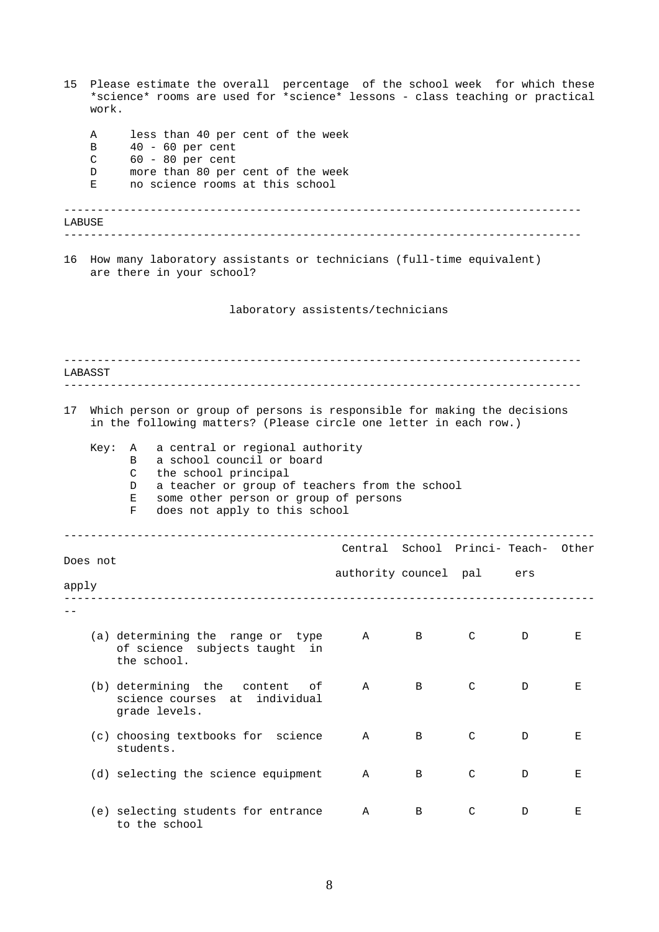<span id="page-7-0"></span>

| 15     | work.                 | Please estimate the overall percentage of the school week for which these<br>*science* rooms are used for *science* lessons - class teaching or practical                                                                                      |                                    |   |              |     |   |
|--------|-----------------------|------------------------------------------------------------------------------------------------------------------------------------------------------------------------------------------------------------------------------------------------|------------------------------------|---|--------------|-----|---|
|        | Α<br>в<br>C<br>D<br>Ε | less than 40 per cent of the week<br>$40 - 60$ per cent<br>$60 - 80$ per cent<br>more than 80 per cent of the week<br>no science rooms at this school                                                                                          |                                    |   |              |     |   |
| LABUSE |                       |                                                                                                                                                                                                                                                |                                    |   |              |     |   |
|        |                       | 16 How many laboratory assistants or technicians (full-time equivalent)<br>are there in your school?                                                                                                                                           |                                    |   |              |     |   |
|        |                       | laboratory assistents/technicians                                                                                                                                                                                                              |                                    |   |              |     |   |
|        | LABASST               |                                                                                                                                                                                                                                                |                                    |   |              |     |   |
|        |                       |                                                                                                                                                                                                                                                |                                    |   |              |     |   |
| 17     |                       | Which person or group of persons is responsible for making the decisions<br>in the following matters? (Please circle one letter in each row.)                                                                                                  |                                    |   |              |     |   |
|        | Key:                  | a central or regional authority<br>A<br>a school council or board<br>B<br>the school principal<br>C<br>a teacher or group of teachers from the school<br>D<br>some other person or group of persons<br>Е<br>does not apply to this school<br>F |                                    |   |              |     |   |
|        |                       |                                                                                                                                                                                                                                                | Central School Princi-Teach- Other |   |              |     |   |
| apply  | Does not              |                                                                                                                                                                                                                                                | authority councel pal              |   |              | ers |   |
|        |                       |                                                                                                                                                                                                                                                |                                    |   |              |     |   |
|        |                       | (a) determining the range or type<br>of science subjects taught<br>in<br>the school.                                                                                                                                                           | Α                                  | B | C            | D   | Ε |
|        |                       | (b) determining the content<br>оf<br>science courses<br>individual<br>at<br>grade levels.                                                                                                                                                      | Α                                  | B | C            | D   | Е |
|        |                       | (c) choosing textbooks for science<br>students.                                                                                                                                                                                                | Α                                  | В | $\mathsf{C}$ | D   | Ε |
|        |                       | (d) selecting the science equipment                                                                                                                                                                                                            | Α                                  | В | C            | D   | Е |
|        |                       | (e) selecting students for entrance<br>to the school                                                                                                                                                                                           | Α                                  | В | C            | D   | Е |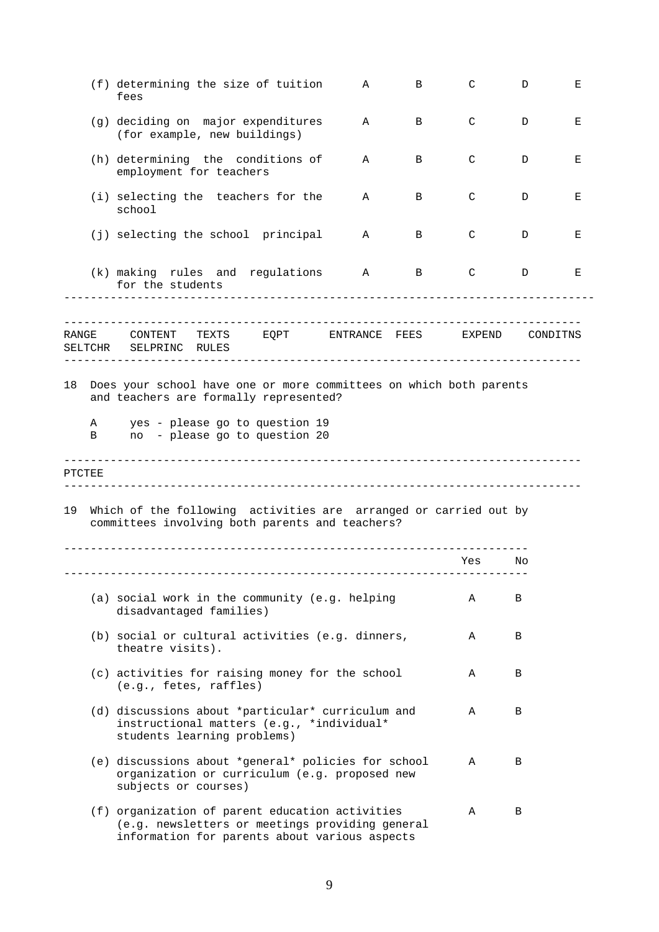<span id="page-8-0"></span>

|        | (f) determining the size of tuition<br>fees                                                                                                         | Α | B | C      | D        | Е |
|--------|-----------------------------------------------------------------------------------------------------------------------------------------------------|---|---|--------|----------|---|
|        | (g) deciding on major expenditures<br>(for example, new buildings)                                                                                  | Α | B | C      | D        | Е |
|        | (h) determining the conditions of<br>employment for teachers                                                                                        | A | B | C      | D        | Е |
|        | (i) selecting the teachers for the<br>school                                                                                                        | A | B | C      | D        | Е |
|        | (j) selecting the school principal                                                                                                                  | Α | B | C      | D        | Е |
|        | (k) making rules and regulations<br>for the students                                                                                                | A | B | C      | D        | Е |
|        | TEXTS<br>EQPT ENTRANCE FEES<br>RANGE CONTENT<br>SELTCHR SELPRINC RULES                                                                              |   |   | EXPEND | CONDITNS |   |
| 18     | Does your school have one or more committees on which both parents<br>and teachers are formally represented?                                        |   |   |        |          |   |
| Α<br>В | yes - please go to question 19<br>no - please go to question 20                                                                                     |   |   |        |          |   |
| PTCTEE |                                                                                                                                                     |   |   |        |          |   |
|        | 19 Which of the following activities are arranged or carried out by<br>committees involving both parents and teachers?                              |   |   |        |          |   |
|        |                                                                                                                                                     |   |   | Yes    | No       |   |
|        | (a) social work in the community (e.g. helping<br>disadvantaged families)                                                                           |   |   | Α      | Β        |   |
|        | (b) social or cultural activities (e.g. dinners,<br>theatre visits).                                                                                |   |   | Α      | В        |   |
|        | (c) activities for raising money for the school<br>(e.g., fetes, raffles)                                                                           |   |   | Α      | В        |   |
|        | (d) discussions about *particular* curriculum and<br>instructional matters (e.g., *individual*<br>students learning problems)                       |   |   | Α      | В        |   |
|        | (e) discussions about *general* policies for school<br>organization or curriculum (e.g. proposed new<br>subjects or courses)                        |   |   | Α      | В        |   |
|        | (f) organization of parent education activities<br>(e.g. newsletters or meetings providing general<br>information for parents about various aspects |   |   | Α      | В        |   |